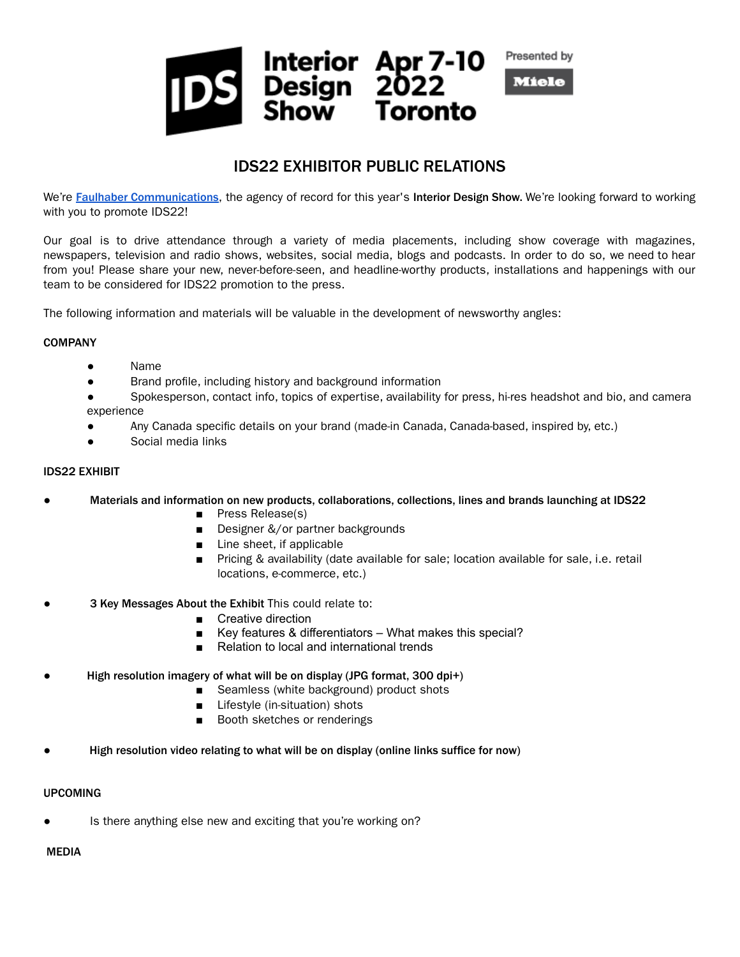

# IDS22 EXHIBITOR PUBLIC RELATIONS

We're Faulhaber [Communications](http://www.faulhabercommunications.com/), the agency of record for this year's Interior Design Show. We're looking forward to working with you to promote IDS22!

Our goal is to drive attendance through a variety of media placements, including show coverage with magazines, newspapers, television and radio shows, websites, social media, blogs and podcasts. In order to do so, we need to hear from you! Please share your new, never-before-seen, and headline-worthy products, installations and happenings with our team to be considered for IDS22 promotion to the press.

The following information and materials will be valuable in the development of newsworthy angles:

### **COMPANY**

- Name
- Brand profile, including history and background information
- Spokesperson, contact info, topics of expertise, availability for press, hi-res headshot and bio, and camera experience
- Any Canada specific details on your brand (made-in Canada, Canada-based, inspired by, etc.)
- Social media links

## IDS22 EXHIBIT

- **●** Materials and information on new products, collaborations, collections, lines and brands launching at IDS22
	- **■** Press Release(s)
	- **■** Designer &/or partner backgrounds
	- **■** Line sheet, if applicable
	- Pricing & availability (date available for sale; location available for sale, i.e. retail locations, e-commerce, etc.)
- **●** 3 Key Messages About the Exhibit This could relate to:
	- **■** Creative direction
	- Key features & differentiators What makes this special?
	- Relation to local and international trends
- High resolution imagery of what will be on display (JPG format, 300 dpi+)
	- Seamless (white background) product shots
	- Lifestyle (in-situation) shots
	- Booth sketches or renderings
- High resolution video relating to what will be on display (online links suffice for now)

### UPCOMING

Is there anything else new and exciting that you're working on?

### MEDIA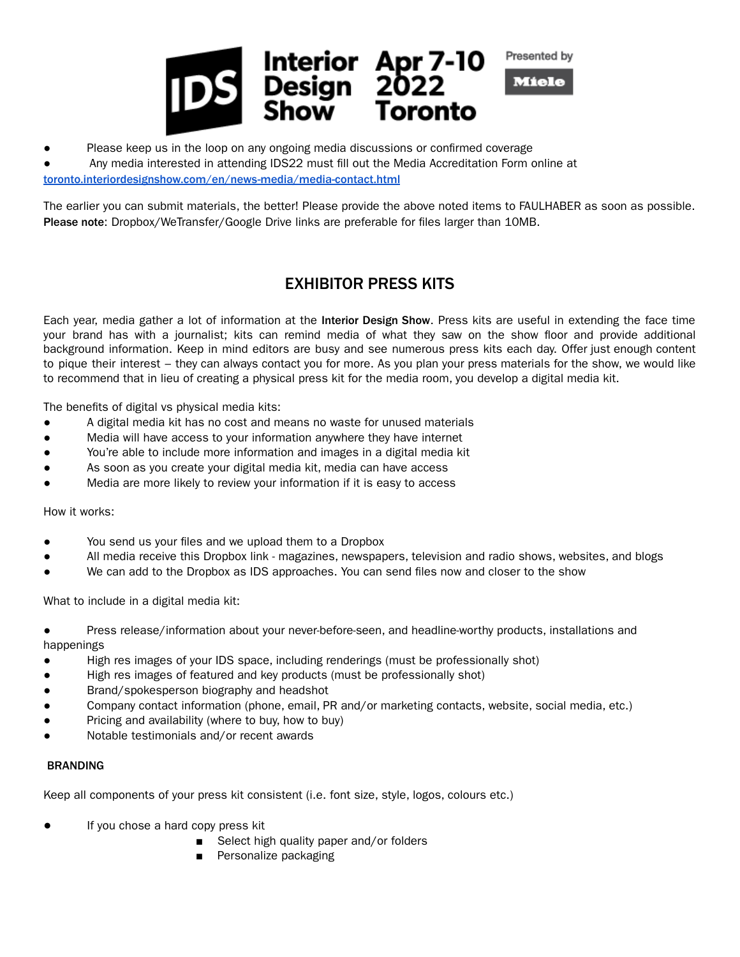

● Please keep us in the loop on any ongoing media discussions or confirmed coverage

Any media interested in attending IDS22 must fill out the Media Accreditation Form online at [toronto.interiordesignshow.com/en/news-media/media-contact.html](https://toronto.interiordesignshow.com/en/news-media/media-contact.html)

The earlier you can submit materials, the better! Please provide the above noted items to FAULHABER as soon as possible. Please note: Dropbox/WeTransfer/Google Drive links are preferable for files larger than 10MB.

# EXHIBITOR PRESS KITS

Each year, media gather a lot of information at the Interior Design Show. Press kits are useful in extending the face time your brand has with a journalist; kits can remind media of what they saw on the show floor and provide additional background information. Keep in mind editors are busy and see numerous press kits each day. Offer just enough content to pique their interest – they can always contact you for more. As you plan your press materials for the show, we would like to recommend that in lieu of creating a physical press kit for the media room, you develop a digital media kit.

The benefits of digital vs physical media kits:

- A digital media kit has no cost and means no waste for unused materials
- Media will have access to your information anywhere they have internet
- You're able to include more information and images in a digital media kit
- As soon as you create your digital media kit, media can have access
- Media are more likely to review your information if it is easy to access

How it works:

- You send us your files and we upload them to a Dropbox
- All media receive this Dropbox link magazines, newspapers, television and radio shows, websites, and blogs
- We can add to the Dropbox as IDS approaches. You can send files now and closer to the show

What to include in a digital media kit:

Press release/information about your never-before-seen, and headline-worthy products, installations and happenings

- High res images of your IDS space, including renderings (must be professionally shot)
- High res images of featured and key products (must be professionally shot)
- Brand/spokesperson biography and headshot
- Company contact information (phone, email, PR and/or marketing contacts, website, social media, etc.)
- Pricing and availability (where to buy, how to buy)
- Notable testimonials and/or recent awards

### BRANDING

Keep all components of your press kit consistent (i.e. font size, style, logos, colours etc.)

- If you chose a hard copy press kit
	- Select high quality paper and/or folders
	- Personalize packaging